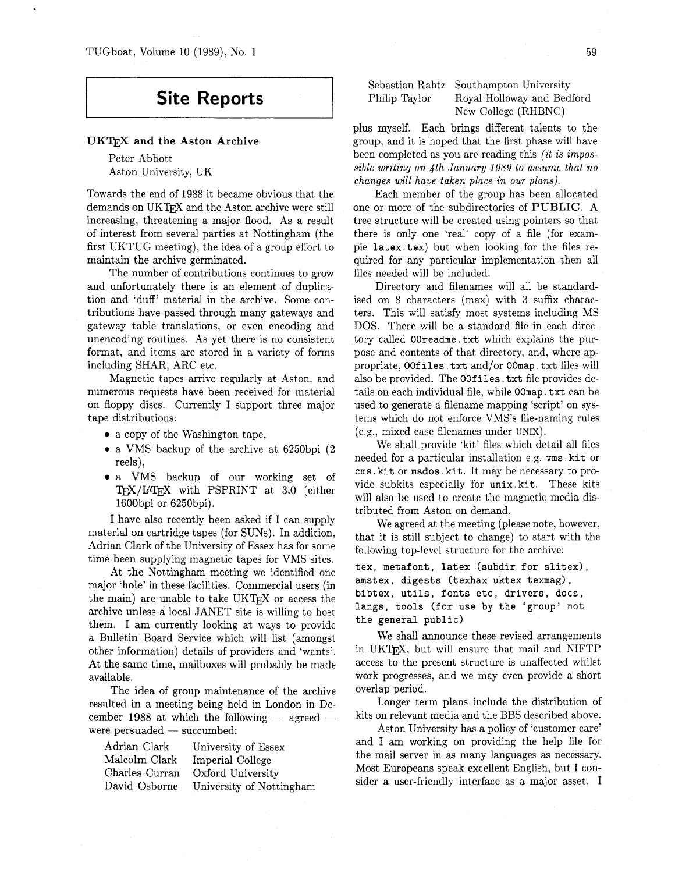# **Site Reports**

#### UKT<sub>F</sub>X and the Aston Archive

Peter Abbott Aston University, UK

Towards the end of 1988 it became obvious that the demands on UKTFX and the Aston archive were still increasing, threatening a major flood. As a result of interest from several parties at Nottingham (the first UKTUG meeting), the idea of a group effort to maintain the archive germinated.

The number of contributions continues to grow and unfortunately there is an element of duplication and 'duff' material in the archive. Some contributions have passed through many gateways and gateway table translations, or even encoding and unencoding routines. As yet there is no consistent format, and items are stored in a variety of forms including SHAR, ARC etc.

Magnetic tapes arrive regularly at Aston. and numerous requests have been received for material on floppy discs. Currently I support three major tape distributions:

- 0 a copy of the Washington tape,
- 0 a VMS backup of the archive at 6250bpi (2 reels),
- a VMS backup of our working set of TFX/IATFX with PSPRINT at 3.0 (either 1600bpi or 6250bpi).

I have also recently been asked if I can supply material on cartridge tapes (for SUNS). In addition, Adrian Clark of the University of Essex has for some time been supplying magnetic tapes for VMS sites.

At the Nottingham meeting we identified one major 'hole' in these facilities. Commercial users (in the main) are unable to take  $UKTrX$  or access the archive unless a local JANET site is willing to host them. I am currently looking at ways to provide a Bulletin Board Service which will list (amongst other information) details of providers and 'wants'. At the same time, mailboxes will probably be made available.

The idea of group maintenance of the archive resulted in a meeting being held in London in De-<br>cember 1988 at which the following — agreed cember 1988 at which the following  $-$  agreed  $-$  were persuaded  $-$  succumbed:

| Adrian Clark   | University of Essex      |
|----------------|--------------------------|
| Malcolm Clark  | Imperial College         |
| Charles Curran | Oxford University        |
| David Osborne  | University of Nottingham |

### Sebastian Rahtz Southampton University Philip Taylor Royal Holloway and Bedford New College (RHBNC)

plus myself. Each brings different talents to the group, and it is hoped that the first phase will have been completed as you are reading this *(it is impossible writing on 4th January 1989 to assume that no changes will have taken place in our plans).* 

Each member of the group has been allocated one or more of the subdirectories of PUBLIC. A tree structure will be created using pointers so that there is only one 'real' copy of a file (for example latex. tex) but when looking for the files required for any particular implementation then all files needed will be included.

Directory and filenames will all be standardised on 8 characters (max) with **3** suffix characters. This will satisfy most systems including MS DOS. There will be a standard file in each directory called OOreadme. txt which explains the purpose and contents of that directory, and, where appropriate, OOf iles . txt and/or OOmap . txt files will also be provided. The **OOfiles** . txt file provides details on each individual file, while OOmap . txt can be used to generate a filename mapping 'script' on systems which do not enforce VMS's file-naming rules (e.g., mixed case filenames under UNIX).

We shall provide 'kit' files which detail all files needed for a particular installation e.g. vms . kit or cms .kit or msdos .kit. It may be necessary to provide subkits especially for unix. kit. These kits will also be used to create the magnetic media distributed from Aston on demand.

We agreed at the meeting (please note, however, that it is still subject to change) to start with the following top-level structure for the archive:

tex, metafont, latex (subdir for slitex), amstex, digests (texhax uktex texmag) , bibtex, utils, fonts etc, drivers, docs, langs, tools (for use by the 'group' not the general public)

We shall announce these revised arrangements in UKT<sub>F</sub>X, but will ensure that mail and NIFTP access to the present structure is unaffected whilst work progresses, and we may even provide a short overlap period.

Longer term plans include the distribution of kits on relevant media and the BBS described above.

Aston University has a policy of 'customer care' and I am working on providing the help file for the mail server in as many languages as necessary. Most Europeans speak excellent English, but I consider a user-friendly interface as a major asset. I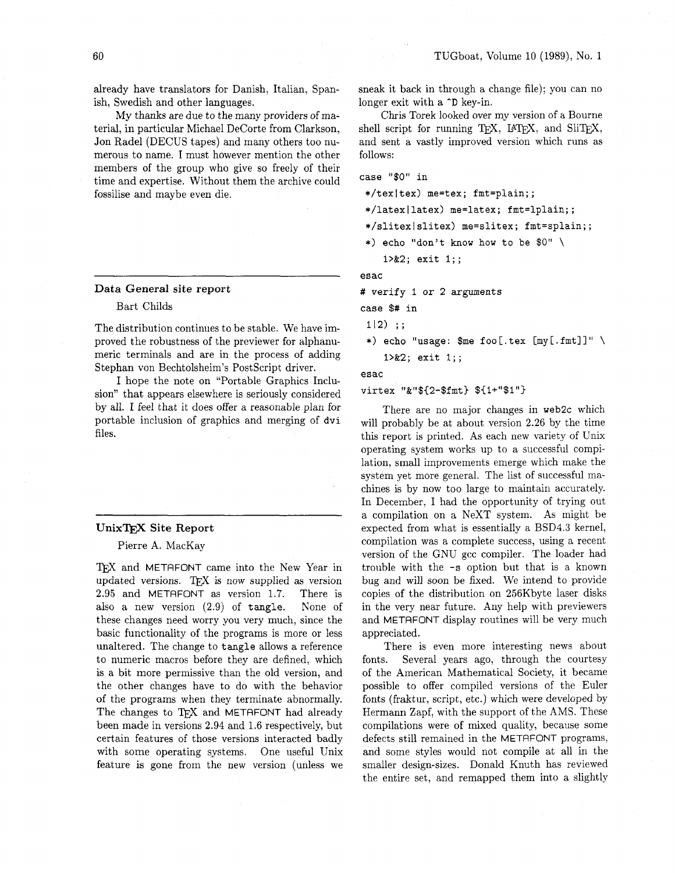already have translators for Danish, Italian, Spanish, Swedish and other languages.

My thanks are due to the many providers of material, in particular Michael DeCorte from Clarkson, Jon Radel (DECUS tapes) and many others too numerous to name. I must however mention the other members of the group who give so freely of their time and expertise. Without them the archive could fossilise and maybe even die.

#### **Data General site report**

--

Bart Childs

The distribution continues to be stable. We have improved the robustness of the previewer for alphanumeric terminals and are in the process of adding Stephan von Bechtolsheim's PostScript driver.

I hope the note on "Portable Graphics Inclusion" that appears elsewhere is seriously considered by all. I feel that it does offer a reasonable plan for portable inclusion of graphics and merging of **dvi**  files.

#### **UnixTEX** Site Report

#### Pierre A. MacKay

T<sub>F</sub>X and METAFONT came into the New Year in updated versions. T $\cancel{FX}$  is now supplied as version **2.95** and METAFONT as version 1.7. There is also a new version **(2.9)** of **tangle.** None of these changes need worry you very much, since the basic functionality of the programs is more or less unaltered. The change to **tangle** allows a reference to numeric macros before they are defined, which is a bit more permissive than the old version, and the other changes have to do with the behavior of the programs when they terminate abnormally. The changes to TFX and METAFONT had already been made in versions **2.94** and 1.6 respectively, but certain features of those versions interacted badly with some operating systems. One useful Unix feature is gone from the new version (unless we sneak it back in through a change file); you can no longer exit with a **-D** key-in.

Chris Torek looked over my version of a Bourne shell script for running TEX, IATEX, and SliTEX, and sent a vastly improved version which runs as follows:

**case "\$0" in** 

**\*/texltex) me=tex; fmt=plain;;** 

- **\*/latexllatex) me=latex; fmt=lplain;;**
- **\*/slitexlslitex) me=slitex; fmt=splain;;**
- \*) **echo "don't know how to be** \$0" \

**1>&2; exit 1;;** 

**esac** 

# **verify I or 2 arguments** 

**case** \$# **in** 

**112)** ;;

\*) **echo "usage: \$me foo[.tex [my[.fmt]l"** \ **l>&2; exit 1;;** 

**esac** 

**virtex "&"\${2-\$fmt) \${1+"\$1")** 

There are no major changes in **web2c** which will probably be at about version 2.26 by the time this report is printed. As each new variety of Unix operating system works up to a successful compilation, small improvements emerge which make the system yet more general. The list of successful machines is by now too large to maintain accurately. In December, I had the opportunity of trying out a compilation on a NeXT system. As might be expected from what is essentially a BSD4.3 kernel, compilation was a complete success, using a recent version of the GNU gcc compiler. The loader had trouble with the **-s** option but that is a known bug and will soon be fixed. We intend to provide copies of the distribution on 256Kbyte laser disks in the very near future. Any help with previewers and METAFONT display routines will be very much appreciated.

There is even more interesting news about fonts. Several years ago, through the courtesy of the American Mathematical Society, it became possible to offer compiled versions of the Euler fonts (fraktur, script, etc.) which were developed by Hermann Zapf, with the support of the AMS. These compilations were of mixed quality, because some defects still remained in the METRFONT programs, and some styles would not compile at all in the smaller design-sizes. Donald Knuth has reviewed the entire set, and remapped them into a slightly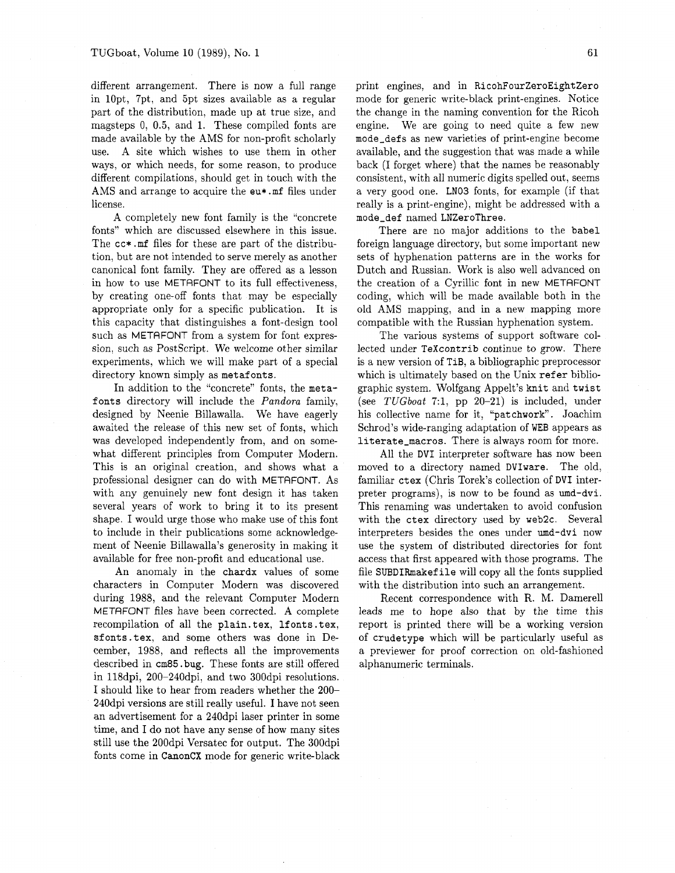different arrangement. There is now a full range in lOpt, 7pt, and 5pt sizes available as a regular part of the distribution, made up at true size, and magsteps 0, 0.5, and 1. These compiled fonts are made available by the AMS for non-profit scholarly use. A site which wishes to use them in other ways, or which needs, for some reason, to produce different compilations, should get in touch with the AMS and arrange to acquire the eu\* .mf files under license.

A completely new font family is the "concrete fonts" which are discussed elsewhere in this issue. The cc\* . mf files for these are part of the distribution, but are not intended to serve merely as another canonical font family. They are offered as a lesson in how to use METAFONT to its full effectiveness, by creating one-off fonts that may be especially appropriate only for a specific publication. It is this capacity that distinguishes a font-design tool such as METAFONT from a system for font expression, such as PostScript. We welcome other similar experiments, which we will make part of a special directory known simply as metafonts.

In addition to the "concrete" fonts, the metafonts directory will include the *Pandora* family, designed by Neenie Billawalla. We have eagerly awaited the release of this new set of fonts, which was developed independently from, and on somewhat different principles from Computer Modern. This is an original creation, and shows what a professional designer can do with METAFONT. As with any genuinely new font design it has taken several years of work to bring it to its present shape. I would urge those who make use of this font to include in their publications some acknowledgement of Neenie Billawalla's generosity in making it available for free non-profit and educational use.

An anomaly in the chardx values of some characters in Computer Modern was discovered during 1988, and the relevant Computer Modern METRFONT files have been corrected. A complete recompilation of all the plain. tex, lfonts. tex, sfonts. tex, and some others was done in December, 1988, and reflects all the improvements described in cm85 .bug. These fonts are stil! offered in 118dpi, 200-240dpi, and two 300dpi resolutions. I should like to hear from readers whether the 200- 240dpi versions are still really useful. I have not seen an advertisement for a 240dpi laser printer in some time, and I do not have any sense of how many sites still use the 200dpi Versatec for output. The 300dpi fonts come in CanonCX mode for generic write-black print engines, and in RicohFourZeroEightZero mode for generic write-black print-engines. Notice the change in the naming convention for the Ricoh engine. We are going to need quite a few new mode-defs as new varieties of print-engine become available, and the suggestion that was made a while back (I forget where) that the names be reasonably consistent, with all numeric digits spelled out, seems a very good one. LN03 fonts, for example (if that really is a print-engine), might be addressed with a mode-def named LNZeroThree.

There are no major additions to the babel foreign language directory, but some important new sets of hyphenation patterns are in the works for Dutch and Russian. Work is also well advanced on the creation of a Cyrillic font in new METAFONT coding, which will be made available both in the old AMS mapping, and in a new mapping more compatible with the Russian hyphenation system.

The various systems of support software collected under TeXcontrib continue to grow. There is a new version of TiB, a bibliographic preprocessor which is ultimately based on the Unix refer bibliographic system. Wolfgang Appelt's knit and twist (see *TUGboat* 7:1, pp 20-21) is included, under his collective name for it, "patchwork". Joachim Schrod's wide-ranging adaptation of WEB appears as literate-macros. There is always room for more.

All the DVI interpreter software has now been moved to a directory named DVIware. The old, familiar ctex (Chris Torek's collection of DVI interpreter programs), is now to be found as umd-dvi. This renaming was undertaken to avoid confusion with the ctex directory used by web2c. Several interpreters besides the ones under umd-dvi now use the system of distributed directories for font access that first appeared with those programs. The file SUBDIRmakef ile will copy all the fonts supplied with the distribution into such an arrangement.

Recent correspondence with R. M. Damerell leads me to hope also that by the time this report is printed there will be a working version of crudetype which will be particularly useful as a previewer for proof correction on old-fashioned alphanumeric terminals.